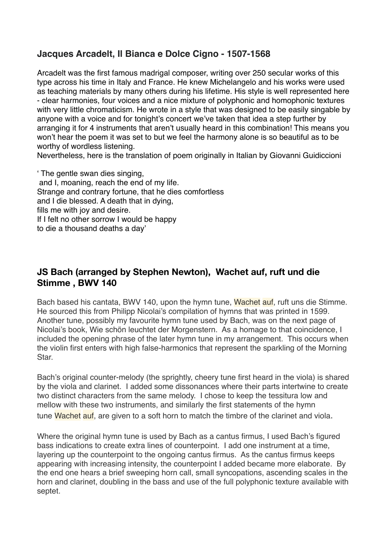## **Jacques Arcadelt, Il Bianca e Dolce Cigno - 1507-1568**

Arcadelt was the first famous madrigal composer, writing over 250 secular works of this type across his time in Italy and France. He knew Michelangelo and his works were used as teaching materials by many others during his lifetime. His style is well represented here - clear harmonies, four voices and a nice mixture of polyphonic and homophonic textures with very little chromaticism. He wrote in a style that was designed to be easily singable by anyone with a voice and for tonight's concert we've taken that idea a step further by arranging it for 4 instruments that aren't usually heard in this combination! This means you won't hear the poem it was set to but we feel the harmony alone is so beautiful as to be worthy of wordless listening.

Nevertheless, here is the translation of poem originally in Italian by Giovanni Guidiccioni

' The gentle swan dies singing, and I, moaning, reach the end of my life. Strange and contrary fortune, that he dies comfortless and I die blessed. A death that in dying, fills me with joy and desire. If I felt no other sorrow I would be happy to die a thousand deaths a day'

#### **JS Bach (arranged by Stephen Newton), Wachet auf, ruft und die Stimme , BWV 140**

Bach based his cantata, BWV 140, upon the hymn tune, Wachet auf, ruft uns die Stimme. He sourced this from Philipp Nicolai's compilation of hymns that was printed in 1599. Another tune, possibly my favourite hymn tune used by Bach, was on the next page of Nicolai's book, Wie schön leuchtet der Morgenstern. As a homage to that coincidence, I included the opening phrase of the later hymn tune in my arrangement. This occurs when the violin first enters with high false-harmonics that represent the sparkling of the Morning Star.

Bach's original counter-melody (the sprightly, cheery tune first heard in the viola) is shared by the viola and clarinet. I added some dissonances where their parts intertwine to create two distinct characters from the same melody. I chose to keep the tessitura low and mellow with these two instruments, and similarly the first statements of the hymn tune Wachet auf, are given to a soft horn to match the timbre of the clarinet and viola.

Where the original hymn tune is used by Bach as a cantus firmus, I used Bach's figured bass indications to create extra lines of counterpoint. I add one instrument at a time, layering up the counterpoint to the ongoing cantus firmus. As the cantus firmus keeps appearing with increasing intensity, the counterpoint I added became more elaborate. By the end one hears a brief sweeping horn call, small syncopations, ascending scales in the horn and clarinet, doubling in the bass and use of the full polyphonic texture available with septet.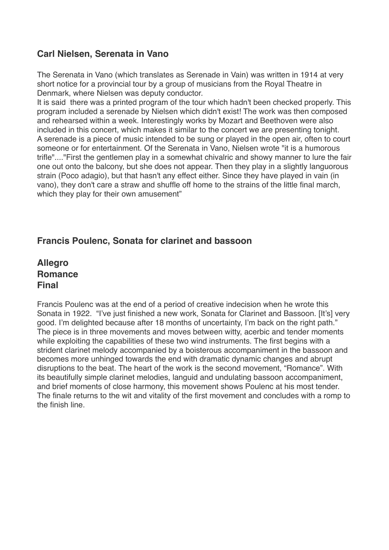## **Carl Nielsen, Serenata in Vano**

The Serenata in Vano (which translates as Serenade in Vain) was written in 1914 at very short notice for a provincial tour by a group of musicians from the Royal Theatre in Denmark, where Nielsen was deputy conductor.

It is said there was a printed program of the tour which hadn't been checked properly. This program included a serenade by Nielsen which didn't exist! The work was then composed and rehearsed within a week. Interestingly works by Mozart and Beethoven were also included in this concert, which makes it similar to the concert we are presenting tonight. A serenade is a piece of music intended to be sung or played in the open air, often to court someone or for entertainment. Of the Serenata in Vano, Nielsen wrote "it is a humorous trifle"...."First the gentlemen play in a somewhat chivalric and showy manner to lure the fair one out onto the balcony, but she does not appear. Then they play in a slightly languorous strain (Poco adagio), but that hasn't any effect either. Since they have played in vain (in vano), they don't care a straw and shuffle off home to the strains of the little final march, which they play for their own amusement"

#### **Francis Poulenc, Sonata for clarinet and bassoon**

**Allegro Romance Final**

Francis Poulenc was at the end of a period of creative indecision when he wrote this Sonata in 1922. "I've just finished a new work, Sonata for Clarinet and Bassoon. [It's] very good. I'm delighted because after 18 months of uncertainty, I'm back on the right path." The piece is in three movements and moves between witty, acerbic and tender moments while exploiting the capabilities of these two wind instruments. The first begins with a strident clarinet melody accompanied by a boisterous accompaniment in the bassoon and becomes more unhinged towards the end with dramatic dynamic changes and abrupt disruptions to the beat. The heart of the work is the second movement, "Romance". With its beautifully simple clarinet melodies, languid and undulating bassoon accompaniment, and brief moments of close harmony, this movement shows Poulenc at his most tender. The finale returns to the wit and vitality of the first movement and concludes with a romp to the finish line.